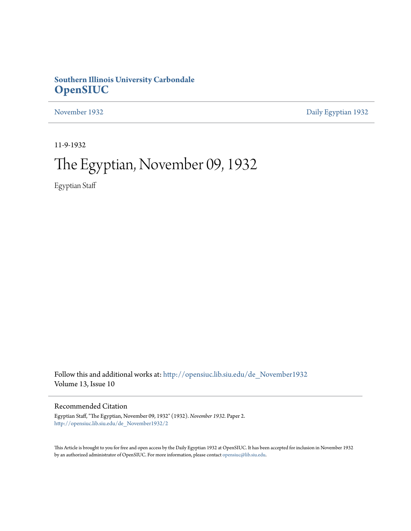# **Southern Illinois University Carbondale [OpenSIUC](http://opensiuc.lib.siu.edu?utm_source=opensiuc.lib.siu.edu%2Fde_November1932%2F2&utm_medium=PDF&utm_campaign=PDFCoverPages)**

[November 1932](http://opensiuc.lib.siu.edu/de_November1932?utm_source=opensiuc.lib.siu.edu%2Fde_November1932%2F2&utm_medium=PDF&utm_campaign=PDFCoverPages) [Daily Egyptian 1932](http://opensiuc.lib.siu.edu/de_1932?utm_source=opensiuc.lib.siu.edu%2Fde_November1932%2F2&utm_medium=PDF&utm_campaign=PDFCoverPages)

11-9-1932

# The Egyptian, November 09, 1932

Egyptian Staff

Follow this and additional works at: [http://opensiuc.lib.siu.edu/de\\_November1932](http://opensiuc.lib.siu.edu/de_November1932?utm_source=opensiuc.lib.siu.edu%2Fde_November1932%2F2&utm_medium=PDF&utm_campaign=PDFCoverPages) Volume 13, Issue 10

## Recommended Citation

Egyptian Staff, "The Egyptian, November 09, 1932" (1932). *November 1932.* Paper 2. [http://opensiuc.lib.siu.edu/de\\_November1932/2](http://opensiuc.lib.siu.edu/de_November1932/2?utm_source=opensiuc.lib.siu.edu%2Fde_November1932%2F2&utm_medium=PDF&utm_campaign=PDFCoverPages)

This Article is brought to you for free and open access by the Daily Egyptian 1932 at OpenSIUC. It has been accepted for inclusion in November 1932 by an authorized administrator of OpenSIUC. For more information, please contact [opensiuc@lib.siu.edu.](mailto:opensiuc@lib.siu.edu)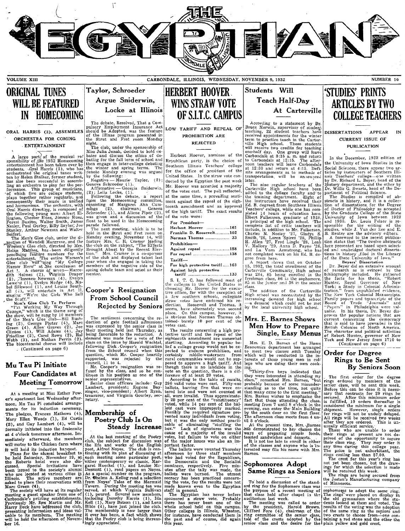

ORIGINAL TUNES WILL BE FEATURED IN HOMECOMING

# . ENTERTAINMENT ENTERTAINM

sponsibility of the 1932 Homecoming bating for the fall term of school and entertainment has been taken over by then engage in inter-college debating students. Qual Harris (3), who has 'the engage in inter-college debating ten by Helen Stalker, former student, by the following: has also been successful in assemb- Negative - Maurie' Taylor,  $(2)$ ;  $\lim_{x \to a}$  an orchestra to play for the per- $\int$ Geneva Schroeder (1). formance. This group of musicians, Affirmative - Georgia Suiderwin,  $\alpha$ , then the votes cast.<br>
The plays together rather regularly, and  $\beta$ . I lelia Locke, (1).<br>
The votes cast.<br>
The plays together rather regularly, and

entertailment. 'The entire Women's of the club and displayed talent last Tariff- Glee' club Will Sing "My College year when she engaged in taking the Cieve club with sing "My College year when she engaged in taking the college club with sing "My College year when she engaged in taking the conduction of members of the negative side of the **Frame Properties and Sectember** dith Solomes (2), There exercise  $(1)$ , and Louise South  $\text{Lence}$  (2), There execution of the execu-<br>
Lemons (1), Evelyn Hodge (4), Ma-<br>
all  $(1)$ , will entertain in Act III.<br>
all  $(1)$ , will entertain in Act III.<br>
all  $($ 

Fini Working My Way Through<br>College," which is the theme song of  $\overline{C}$ <br>College," which is the theme song of  $\overline{C}$ <br>of the Men's Glee club—Bill Rush-<br>of the Men's Glee club—Bill Rush-<br>of the Men's Glee club—Bill Rush-<br>

# Mu Tau Pi Initiate Four Candidates at

formally initiated into the fraternity **Steady Increase**  $\begin{bmatrix} \text{case} & \text{of} \\ \text{box.} \end{bmatrix}$   $\begin{bmatrix} \text{number of} \\ \text{of} \end{bmatrix}$   $\begin{bmatrix} \text{the} \\ \text{of} \end{bmatrix}$   $\begin{bmatrix} \text{the} \\ \text{of} \end{bmatrix}$  and  $\begin{bmatrix} \text{the} \\ \text{of} \end{bmatrix}$  are the present time,

Christmand Mr. Kell (1), Mary Batson (1), and Lena there has never been one of the The meeting was called to order Harry Deck have addressed the club, have just joined the chool held on this campus. The meeting in the meet

## Taylor, Schroeder Argue Sniderwin, Locke at Illinois

ORAL HARRIS (3), ASSEMBLES should be Adopted, was the feature LOW TARIFF AND REPEAL OF  $\begin{bmatrix} 1 & -1 & -1 \\ 0 & 1 & 0 \\ 0 & 0 & 1 \end{bmatrix}$  prohibition are original program presented in PROHIBITION ARE

**ENTERTAINMENT** might.<br>
The club, under the sponsorship of  $\frac{1}{2}$  Miss Julia Jonah, decided to hold de-<br>
A large part of the musical re' bates and discuss the ethics of de-

Rejected by Seniors seems, have alternately won second<br>The sentiment concerning the re- is obvious that Norman Thomas, however, it<br>is obvious that Norman Thomas ob-<br>duction of gate football admissions it is campus, however

at 4 o'clock tomorrow afternoon. Im-<br>
at 4 o'clock tomorrow afternoon. Im-<br>
mediately afterward, the members and the last meeting of the Poetry of a majority of the invalid ways of preparing simple foods,<br>
mediately afterw asked to place their reservations with from Noyes' Tales of the Mermaid ing the vote, for the results were not To'hold a discussion of the stand-<br>
Marc Green (4). Tavern. During the meeting tas was made known even to the E

# iHERBERT HOOVER, WINS STRAW VOTE The debate, Resolved, That a Com-<br>The debate, Resolved, That a Com-<br>COLLEGE TEACHERS

REJECTED

Herbert Hoover, nominee of the Republican party, is the choice of Southern Illinois Teachers' college for the office of president of the United States. In the straw vote conducted by the Egyptian the past week Mr. Hoover was accorded a majority of the votes cast. The poll reflected, at the same time, a prevailing sentiment against the repeal of the eighteenth amendment and an approval of the high tariff. The exact results of the vote were:

| $For$ President-              |
|-------------------------------|
| Herbert Hoover 161            |
| Franklin D. Roosevelt102      |
| Norman Thomas  33             |
| Prohibition-                  |
| Against repeal 158            |
| For repeal 138                |
| $Tariff$ —                    |
| For high protective tariff163 |
| Against high protective       |
| tariff 133                    |

bel Silkwood (1), and Louise South 1.<br>
all (2000) in the Steel collection in Act 11.<br>
Singing "We're the Girls Who Sell<br>
the Staff."<br>
the Staff."<br>
the Staff."<br>
the Staff." rom School Council a few southern schools collecti ging twe re the Girls who set  $\sum_{\substack{\text{Mon's} \\ \text{Mean's} \\ \text{Mean's} \\ \text{Mean's} \\ \text{Mean's} \\ \text{Mean's} \\ \text{Mean's} \\ \text{Mean's} \\ \text{Mean's} \\ \text{Mean's} \\ \text{Mean's} \\ \text{Mean's} \\ \text{Mean's} \\ \text{Mean's} \\ \text{Mean's} \\ \text{Mean's} \\ \text{Mean's} \\ \text{Mean's} \\ \text{Mean's} \\ \text{Mean's} \\ \text{Mean's} \\ \text{Mean's} \\ \text{Mean's} \\ \text{Mean's} \\ \text{Mean's} \\ \text{Mean's} \\ \$ 

Clinton (1), Will Adams (4), Jay their meeting held last Thursday, as The results concerning a high pro-<br>Friedline (2), Carol Rowe (2), Hal being favorable to the reduction. A tective tariff and the repeal of the **Single,** council, 11 to 4. I posed to approve a high tariff. And 1ege who are doing their own cook-<br>Mr. Cooper's resignation was re- though there is no landslide in the jng.

According to a statement by Dr. Bruce Merwin, supervisor of student teaching, 22 student teachers, have received appointments for the winter will receive two credits for teaching one-half day. One group will leave Carbondale at 8:15 a.m. and return<br>condonable at 12:15. The after-<br>noon teachers will leave Carbondale<br>at 12:30 and return at 4:15. Defi-<br>mite arrangements as to methods of<br>transportation, will be announced<br>later.

The nine regular teachers of the  $^{2d}$  added to the college faculty and to the training department. Eight of the instructors have received their Ed. B. degrees from Southern Illinois<br>Teachers' college, while one has completed 14 hours' of education here.<br>Elbert Fulkerson, graduate of 1926,<br>is principal of the high school. The<br>complete list of critic teachers will<br>include, in addition to Mr. Fulkerson,<br>Charles N. Neeley '27, Gladys S.<br>Smi H. Atlen '27, Fred Lingle '28, Leah V. Mallory '29, Anna D. Payne '26, and La Vern Armstrong, who has not completed work on his Ed. B. degree from here.

Areported work on his Ed. B. de-<br>gree from here.<br>A report shows that on October 15, 1932, the total enrollment of the 15, 1932, the total enrollment of the<br>Carterville Community, High school<br>was 284, 85 being enrolled in the<br>freshman class, 86 in the sophomore,<br>85 in the junior and 38 in the senior 85 in the junior an.! 38 in the senior class.

The addition of the Carterville<br>High school was necessitated by the The addition of the Curtervine<br>High school was necessitated by the<br>increasing demand for high school<br>--a demand which could not be met<br>by the local university high school.

## Mrs. E. Barnes Shows Men How to Prepare<br>Single, Easy Menus

The bicentennial chorus will include [cass of the Home bicentennial chorus will include [cass of the Home of the Home of the Home of the Home of the Home of the Home of the Home of the Home of the Home of the Home of the H

Four Candidates at  $\sum_{\text{time}}$  fused by the class, and so the only one of the present of the set in the quest of the set in the set in the set in the set in the set in the set in the set in the set in the set is a differen

# Students Will **STUDIES' PRINTS**<br>Teach Half-Day **ADTICLES** DV TU h Half-Day **ARTICLES BY TWO**

#### DISSERTATIONS APPEAR CURRENT ISSUE OF PUBLICATION

In the December, 1932 edition of the University of Iowa Studies in the Social Sciences, there appear two ar-<br>ticles by instructors of Southern Illi-<br>nois Teachers' college-ore written<br>by Dr. Richard L. Beyer, head of the History department, and the other by<br>Dr. Willis G. Swartz, head of the De-<br>partment of Political Science.

The Studies is compiled of ab-<br>stracts in history, and it is a collection of dissertations for the Degree of Doctor of Philosophy as accepted by the Graduate College of the State University of Iowa between 1922 and 1930. Dr. Louis Feher is re-<br>sponsible for the editing of the studies, while J. Van der Zee and E.<br>B. Reuter are the advisory editors.<br>3. A foreword to the recent publica-<br>tion states that "The twelve abstracts

here presented are based upon select-<br>
ed an,' unabridged doctoral disserta-<br>
tions in history ,filed in the Library<br>
of the State University of Iowa."<br>
Dr. Beyers' Dissertation<br>
Dr. Beyer did an extensive amount

of research as is evinced by the bibliography included. He gathered the facts for his thesis, "Robert Hunter, Royal Governor of New York; a Study in Colonial Administration," from unpublished evidence, The New York Colonial Manuscripts. Family papers and transcripts of the Board of Trade "Journals" and<br>"Papers" in Philadelphia were valuable. In his thesis, Dr. Bever dis-<br>proves the popular notions that are<br>current concerning the democracy<br>that is said to have prevailed in the<br>British Colonies of North America.<br>The character and political activities<br>of R

### Order for Degree Rings to Be Sent By Seniors Soon

The first order for the degree rings ordered by members of the senior class, will be sent this week. Before this can be done it is necessary that contracts for 20 rings be secured. After this minimum order is is fulfilled, 10 orders thereafter is considered the minimum for a single shipment. However, single orders for rings will not be unduly delayed. All rings will be received two weeks after they are ordered. This is un-<br>usually efficient service.

Those who are unable to order their rings at present are not de-<br>prived of the opportunity to sequre<br>their class ring. They may order it

any time during this college year.<br>The price is not exhorbitant, the<br>rings costing less than \$7.00.<br>The crest for this year's ring has<br>not yet been chosen, but the draw-<br>ings for which the selection is made<br>will be receive

The rings are being secured from<br>the Josten's Manufacturing company<br>of Minnesota.

sophomorges to adopt the same ring.<br>sophomorges to adopt the same ring.<br>the old gymnasium where the students looked at them and voted. The<br>results of the voting was the adoption<br>results of the same ring as the seniors and<br> taining a red stone and the other the plain yellow and gold crest.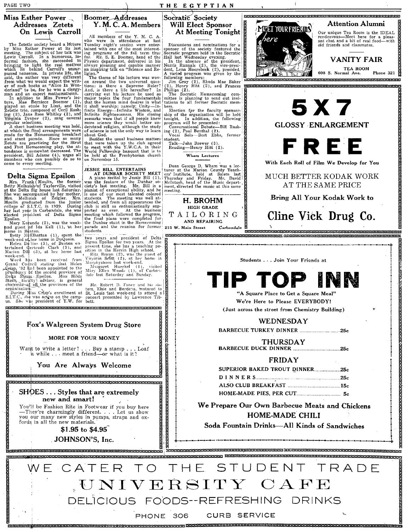PAGE TWO

#### THE EGYPTIAN

## Miss Esther Power Addresses Zetets On Lewi's Carroll

The Zetetic society heard a Récture<br>by Miss Esther Power at its last<br>meeting. The subject of her talk was<br>Lewis Carroll. In a humorous, in-<br>formal fashion, she 'succeeded in<br>bringing to light the real motions<br>which lie beh

passes numerise. In partece the write<br>sid, the author was very different<br>from what we would expect the write-<br>of order of such books as "Alice In Won-<br>derland" to be, for he was a clergy-<br>man and an expert mathematicaln.<br>I

A short business meeting was need,<br>at which the final arrangements were made for the Homecoming breakfast<br>and stunt parade. Since so many<br>Zetets are practicing for the Strut<br>and Fret Homecoming play, the at-<br>and Fret Homec rendance is somewhat uccreased. In<br>president, Bill Adams (4), urges all<br>members who can possibly do so to<br>come to every meeting.

Delta Sigma Epsilon

Mrs. Frank (Moulin, the former<br>Betty Melhuish of Taylorville, visited<br>at the Delta Sig house last Saturday. at the Denta sign nouse has Saturday.<br>She was accompanied by her mother, Mrs. Melhuish of Zeigler. Mrs.<br>Moulin graduated from the junior college of S.I.T.C. in 1929. During<br>ther hast year in Carbonale, she was<br>beteed presi

Elected president of Delta Sigma<br>
Elected president of Delta Sigma<br>
Mary Korando (2), was the week-<br>
pand guest Briton.<br>
Elected of Ida Kell (1), at her<br>
power in Benton.<br>
week-end adder home in DuQuoin.<br>
Helen Delins (3), week-end.

week-end. Instance we exercised from<br>Grand Colncil stating that Helen<br>Graign, 32 has been appointed to the<br>graight of the second province of<br>Delta Sigma - Epsilon. Miss Hilda<br>Stein, faculty adviser, is general<br>charman-of a

C.C., she was active on the camp-<br>She was president of Y.W. for S.L.T.C

Want to write a letter?.

All members of the Y. M. C. A.<br>who were in attendance at last<br>Tuesday night's session were enter-<br>titled with

Y. M. C. A. Members

**Boomer Addresses** 

who were in attendance at last<br>Tuesday night's session were enter-<br>tained with one of the most interest-<br>ing programs of the fall term thus<br>far. Mr. S. E. Boomer, head of the<br>Elyiscs department, delivered in his<br>divary pl

besides the usual business matters<br>that were taken up the club agreed<br>to meet with the Y.W.C.A. in their<br>World Fellowship banquet that is to<br>be held at the Presbyterian church on November 15.

**JESSIE BILL ENTERTAINS**<br> **AT DUNBAR SOCIETY MEET**<br>
A piano recital by Jessie Bill (1),<br>
was the feature of the Dunbar so-<br>
years and the state of the Dunbar so-<br>
pianit of exceptional ability, and he<br>
is one of our most t

Now years and president of Delta<br>
two years and president of Delta<br>
Sigma Epsilon for two years. At the<br>
present time, she has a teaching po-<br>
ilian in the Herrin High school.<br>
Virginia Scott (2), was the guest of<br>
Microph

chairman of all the provinces of the Mr. Robert D. Faner and his sis-<br>organization. ters, Elsie and Berdena, motored to<br>During Miss Crisp's enrollment at St. Louis last week-end to attend a

concert presented by Lawrence Tib-

Socratic Society **Will Elect Sponsor** At Meeting Tonight

Discussions and nominations for a

Discussions and nominations for a<br>sponsor of the society featured the<br>Scoratic program held in the Socratic<br>Hall last Wednesday evening.<br>Hall has spectromed in the Socratic Indian also<br>resident, Norris Rannals (2), the vi

tations  $\alpha$  ...,<br>
Detection for the faculty sponsor-<br>
Election for the faculty sponsor-<br>
tonight, In addition, the following<br>
program will be presented:<br>
Conversational Debate—Bill Rush-<br>  $\alpha$  (2). Paul Benthal (2).

ing (2), Paul Benthal (2).<br>Vocal Solo—Bert Ebbs, former student.

Talk-John Brewer (3).<br>Reading-Henry Hitt (2).

Wham Lectures

Dean George D. Wham was a lecturer at the Marion County Teachers' Institute, held at Salem last Thursday and Friday. Mr. David Melntosh, head of the Music depart-ment, direction ment, directed the music at this same meeting.

H. BROHM **HIGH GRADE** TAILORING

AND REPAIRING

215 W. Main Street

 $Carbondale$ 



## Attention Alumni

Our unique Tea Room is the IDEAL rendezvous—Meet here for a pleas-<br>ant chat and a bit of real food—with<br>old friends and classmates.

**VANITY FAIR** 

TEA ROOM<br>608 S. Normal Ave. Phone 321

.<br>Incrementation construction of the construction of the construction of the construction of the construction of

**THE REFERENT REFERENCE AND REPORT OF A REPORT OF A REPORT OF A REPORT OF A REPORT OF A REPORT OF A REPORT OF A** 



# TIP TOP INN

We're Here to Please EVERYBODY! (Just across the street from Chemistry Building)

### **WEDNESDAY**

BARBECUE TURKEY DINNER .................................25c **THURSDAY** 

### **FRIDAY**

| SUPERIOR BAKED TROUT DINNER25c |  |
|--------------------------------|--|
|                                |  |
|                                |  |
|                                |  |

We Prepare Our Own Barbecue Meats and Chickens HOME-MADE CHILI

Soda Fountain Drinks-All Kinds of Sandwiches

.<br>Recorrections des constants de la constant de la constantia de la constantia de la constanta de la constanta d



PHONE 306

s<br>Recorded de consideration de l'active de l'active de l'active de l'active de l'active de l'active de l'active ERKOTECHTE EITETERE AT EITETETEKTERE ERKET ER ET ET ER EITETEKTERE ER EITETEKTERE

B

## **SHOES... Styles that are extremely** new and smart!

You'll be Fashion Rite in Footwear if you buy here<br>—They're charmingly different. . . . Let us show<br>you our many new styles in pumps, straps and ox-<br>fords in all the new materials.

<u>relektriselektriselektriselektriselektriselektriselektriselektriselektriselektriselektriselektriselektriselekt</u>

Fox's Walgreen System Drug Store

MORE FOR YOUR MONEY

You Are Always Welcome

t to write a letter?... Buy a stamp...Loaf<br>a while ... meet a friend—or what is it?

<u> ERFERENTERTE ERFERTE ERFERTE ETTE FERTERTE ERFERTE ETTERT ERFE</u>

JOHNSON'S, Inc.

www.component.com/annabilities/annabilities/annabilities/annabilities/annabilities/annabilities/annabilities/a

\$1.95 to \$4.95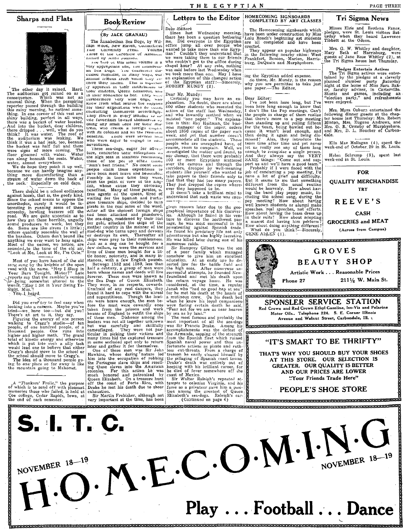**Sharps and Flats** 



The other hay it rained. Hard. The consequence which was not consequence which was not amount unique the perspecter passed through the building this rainy morning, he noticed something this rainy morning, he noticed somet The other day it rained. Hard.

There should be a school ordinate.<br>
There should be a school ordinance<br>
against horizot, and a school ordinate<br>
against horizot, surely it would be in-<br>
unorthedox, surely it would be in-<br>
trensting in running some of the

Most of you have heard of the old Most of you have heard of the old not solve the only solve the per road with the name. "May I Sleep in Your Barn Tonight, Mister?" Late reports say that the rambler's version his being somewhat altered to the words, "Blasy

Fest liege of the leady of the leady when<br>Dioking into a camera a Maybe you've<br>tried — we have too—but did you?<br>There's an art to it, they say.<br>There's and to it is depended point of the proper swaking to Cragg's studio—of

A "Flunkers' Frolic," the purpose<br>of which is to send off with pleasant.<br>memories those who failed, is held at Coe college, Cedar Rapids, Iowa, at<br>the end of each semester.

## **Book**/Review

#### (By JACK GRANAU)

The Elizabethan Sea Dogs, by William Wood; New Haven, Connecticut  $v_{\text{oiume}}$  $1816$ University Press. of the Chronicle of America. nutted by Allen Jonnson.

Factor by Arien Johnson, volume is a<br>very appropriate one, The Enfancement<br>an Sea Dogs. The Characters thisan Sea Dogs. The Characters distribution<br>cussed resemble, in many ways, our<br>animat friends from which taky re-<br>cave their names. This is especial-<br>ry apparent in their nath<br>throws to<br>their mistress, Queen Elizabeth, and

and their observer to her. They were<br>the their observer with the state supplies knew from what source the supplies<br>knew from what source the supplies conducting themselves accordingly.<br>They strove in every manner we may be accordingly. coing any small used for their fluoritude of the coing any small used for their fluoritude. lits. There were several high were eager to engage in such  $penetits$ . who auventures.

auventures.<br>
These sea-dogs, eager for adventure, conducted their primes visual<br>
the high seas in nanamers resonanting<br>
the primes of the person of the cancer<br>
"Man's best friend." No doubt some<br>
"Man's best friend." No do man's best friend. No doubt so people claim these expectations to<br>heaple claim these expectations to<br>the people claim these expectations to<br>live  $\sim$  prosibly in their time they were,<br>if the people of the quality of the people of the people benefited. M - LO mad-dog who turns upon and devours<br>or destroys its own. Thereafter all mad-aog who turns upon and aevours<br>or destroys its own. Thereafter all<br>ships were prey to their ruthlessness.<br>Just as a dog can be bought for a lit-<br>few dollars, so were the services and<br>lives of these men bought for a lit

The was axious later uniting one of its<br>
numerous raids.<br>
Similar the same of a poor family which managed<br>
somehow to give him an excellent<br>
education. At an early use the de-<br>
serted law for the battle field and<br>
the high stay dollars, so were the services and<br>lives of these models for a stay can be services and<br>lives of these men bought for a lit-<br>three, with a few English pounds.<br>Here the services and in many in-<br>listness, with a few Engl

when he knew his loyal companional<br>were facing certain death he said,<br>"Fear not for we are as near heaven<br>by sea as by land."<br>The most famous and probably the<br>most important of all the seadogs<br>most important of all the sea

exhaustion. Sir Martin Frobisher, although not<br>very important at the time, has been

# Letters to the Editor HOMECOMING SIGNBOARDS

The Homecoming signboards which have been under construction by Miss<br>Lulu Roach's beginning art students<br>are all completed and have been erected.

erectes.<br>
They appear on popular highways<br>
in the following nearby cities: West<br>
Frankfort, Benton, Marion, Harris-<br>
burg, DuQuoin and Murphysboro.

ing the Egyptian added expense.<br>So there, Mr. Mundy, is the reason<br>why you are permitted to take just<br>one paper.—The Editor,

#### Dear Editor:

Probably if I were faced with the job of conducting a pep meeting. I'd have a lot of grief and difficulty.<br>But it seems to me that something different from the usual routine would be heavenly. How about having the band pla well known students or alumin make<br>speches, real speeches, not efforts.<br>How about having the team dress up<br>in their suits? How about adopting<br>a mascot and having him perform?<br>How about doing anything different?<br>What do you

**GROCERIES and MEAT** (Across from Campus)

What do you the GENE Al<sub>2</sub>LEN (1). quema conserva en conservación de conservación de conservación de conservación. GROVES **BEAUTY SHOP** Artistic Work . . . Reasonable Prices 2111/2 W. Main St. Phone 27 concerts concerts and compared to the concerts of the concerts of the concerts of the SPONSLER SERVICE STATION Red Crown and Red Crown Ethyl Gasoline, Iso-Vis and Polarine Motor Oils.. Telephone 224. S. E. Corner Illinois Avenue and Walnut Street, Carbondale, Ill. AI<br>CARDOR CONSTRUCTION DE CONSTRUCTION DE CONSTRUCTION DE CONSTRUCTION DE CONSTRUCTION DE CONSTRUCTION DE CONSTRUCTION DE CONSTRUCTION DE CONSTRUCTION DE CONSTRUCTION DE CONSTRUCTION DE CONSTRUCTION DE CONSTRUCTION DE CONS OCEANCE CONTRACTORY CONTRACTORY IN A SECOND CONTRACTORY OF THE CONTRACTORY OF THE CONTRACTORY OF THE CONTRACTORY OF THE CONTRACTORY OF THE CONTRACTORY OF THE CONTRACTORY OF THE CONTRACTORY OF THE CONTRACTORY OF THE CONTRAC "IT'S SMART TO BE THRIFTY" THAT'S WHY YOU SHOULD BUY YOUR SHOES AT THIS STORE. OUR SELECTION IS GREATER. OUR QUALITY IS BETTER

AND OUR PRICES ARE LOWER "Your Friends Trade Here"

PEOPLE'S SHOE STORE



fortunate actions as pirate and ruth-<br>less cut-throats. From a charge of<br>treason he easily cleared himself by

treasubing of Spanish coast turnself<br>the pillaging of Spanish coast towns.<br>Drake's death was entirely out of<br>keeping with his brilliant career, for<br>he died of fever somewhere off the

Tri Sigma News

Misses Elsie and Berdena Faner, misses Eiste and Berdena Fancr,<br>pledges, were St. Louis visitors Satterday when they heard Lawrence<br>Tibbett at the Odeon.

PAGE THREE

Mrs. G. W. Whitley and daughter, Mary Beth of Harrisburg, were guests of Jane Rose Whitley (2), at the Tri Sigma house last Thursday.

#### Pledges Entertain Actives

Pledges Entertain Actives<br>The Tri Sigma actives were enter-<br>tained by the pledges at a cleverly<br>planned slumber party Saturday<br>night at the home of Miss Sara Bak-<br>er, faculty adviser, in Carterville.<br>Stunts and games, incl were enjoved.

Mrs. Myra Ozburn entertained the following dinner guests at the chap-<br>ter house last Thursday: Mrs. Robert Minton, Mrs. Eugene Andrews, and<br>Mrs. O. B. Ormsby of Murphysboro,<br>and Mrs. D. L. Boucher of Carbondale.

Ella Mae Hallagan (4), spent the<br>week-end of October 29 in St. Louis.

Helen Schremp (3), spent last<br>week-end in St. Louis.

## **FOR**

## **OUALITY MERCHANDISE** TRY

**REEVE'S** 

#### **CASH**



Debr-Editory<br>
Since last Wednesday morning,<br>
there has been a question bothering<br>
there has been a question bothering<br>
office jump all over people who<br>
wanted to take more than one Egyptian<br>
tan? Couldn't they understand t

who couldn't get to the oritoe during<br>chapel hour? At any rate, nothing<br>was said before last Wednesday when<br>we took more than one. May I have<br>an explanation of this changed action<br>of the Egyptian staff?—Sincerely,<br>ROBERT M

Dear Mr. Mundy:<br>Certainly you may have an ex-<br>planation. No doubt, there are about<br>800 other students who reseated the<br>action of the staff last Wednesday,

given renown later due to the geo-<br>graphical importance of his discover-

ies. Almougn ne tailed in his ven-<br>the contributed passage, he was most successful in his<br>provateering against Spanish trade.<br>He found his predatory life not only<br>adventurous but also highly lucrative.<br>He was killed later

Although he failed in his ven-

ies.

numerous raids.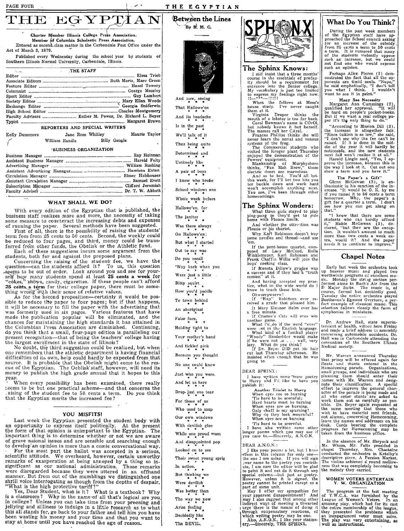Act of March 3, 1879.

 $\operatorname{THE}$  EGYPTAAN

Member of Columbia Scholastic Press Association.<br>Entered as second class matter in the Carbondale Post Office under the Charter Member Illinois College Press Association.

Published every Wednesday during the school year by students of

THE STAFF Editor ....................................................... \_ ..................................... Elma Trieb Associate Editors .... \_\_\_ .. \_\_\_\_ .. \_\_\_ ... \_\_ . \_\_\_ . \_\_\_\_ .. \_\_ . \_\_\_\_\_\_\_\_\_\_ . \_\_ .... Ruth Mertz, Marc Green Feature Eiditor \_\_\_\_\_ . \_\_\_\_ ... \_\_\_\_\_\_\_ ........ \_\_\_\_ ...... 0 •••• ------.----\_\_\_\_\_\_\_\_\_\_\_\_\_\_\_\_\_ • \_\_ Hazel Towery Columnist .u.\_ ... \_o .... \_.\_ .. \_ .. \_\_ ....... \_ .... \_. \_\_\_ .\_. \_\_\_\_ o ... \_\_\_\_\_ ............. \_\_\_\_ ..... George Moseley Sport Editor .... \_\_\_\_\_\_\_\_\_\_\_\_ .... \_\_\_\_ .. \_\_\_\_\_\_ ... \_\_\_ .. \_\_ .. \_\_ .... \_\_\_\_\_\_ .......... \_\_ .. \_\_\_\_\_\_ ... Guy Lambert Society Editor \_\_\_\_ .... \_\_\_\_ .... \_\_\_\_ .... \_\_\_\_\_\_\_\_\_\_ .. \_\_ .. : .... \_\_\_\_ .... \_\_\_\_\_\_\_\_\_\_\_\_ ... Mary Ellen Woods Exchange Editor .. \_ ... \_. \_\_ . \_\_ ....... ~ ............. \_ .... ~ ... \_.\_.\_ .... \_.\_ .... \_\_ ~ Georgia SnidEnwin High School Editor \_\_\_\_\_\_\_\_\_\_\_\_\_\_ . \_\_\_\_\_\_\_\_\_\_\_\_\_\_\_\_\_\_\_\_\_\_\_\_\_\_\_\_\_\_\_\_\_\_\_\_\_\_\_\_ .Charles -Montgomery Faculty Advisors \_ .. \_\_\_\_\_ .. \_\_\_\_ .. \_\_\_ . \_\_ .. \_\_ .. ,Esther M. Power, Dr. Richard L. Beyer Typist \_\_\_\_\_\_\_\_\_\_\_\_\_\_\_\_\_\_\_\_\_\_\_\_\_\_\_\_ . \_\_\_\_\_\_\_\_ ., \_\_\_\_\_\_\_\_\_\_\_\_\_\_\_\_\_\_\_\_ ..... \_\_ . \_\_\_\_\_\_\_\_\_\_\_\_\_ .. \_\_ . Margaret Brown REPORTERS AND SPECIAL WRITERS Kelly Dunsmore Jane Rose Whitley Maurie Taylor<br>  $\angle$  William Randle Billy Gangle

'BUSINESS ORGANIZATION Business Manager \_\_ ........ \_ •. \_ •. \_ ............................... \_.\_ .•.•..•. \_\_\_ ... \_\_\_\_\_\_ . Ray Heitman Assistant BuS'iness Manager \_\_\_\_ ....... \_ ..... \_ .. \_\_\_\_\_\_\_ . \_\_\_\_\_\_ ... \_\_\_\_ .... \_\_\_ ..... Harold Felty Advertising Manager .. \_\_ ... \_\_\_\_\_\_ .\_.\_ .... \_. \_\_ ... \_. \_\_ ... \_\_ . \_\_\_ .. \_. \_\_\_\_\_\_\_\_\_\_ . \_\_\_ William Rushing Assistant Adverth:ing Manager ............. : .................. " .......... Harrison Eaton Circulation Manager ......... \_\_\_\_\_\_ .\_. \_\_\_\_\_\_\_\_\_\_\_ ... \_\_\_\_ . \_\_\_\_\_\_\_\_ . \_\_ ... \_\_\_\_ . \_\_ . Elmer Holshouser

!:~~~;!~~~:f~~~.~:~~~~~~:::::::::::::~::::::::::::::=:~:::::::::::::·~~ff;~J~~:~~ WHAT SHALL WE DO? With every edition of the Egyptian that is published, the business staff realizes more and more, the necessity of taking business staff realizes more and more, the necessity of taking<br>some measure to counteract the increasing debts and expenses<br>of running the paper. Several methods have been suggested.<br>First of all, there is the possibility

be reduced to four pages, and third, money could be trans-<br>ferred from other funds, the Obelisk or the Athletic fund. Each of these suggestions incurs some argument from the

students, both for and against the proposed plans.<br>Concerning the raising of the students fee, we have the<br>question—can the students afford it? To us, this question<br>seems to be out of order. Look around you and see for yo

As for the second proposition—certainly it would be pos-<br>sible to reduce the paper to four pages; but if that happens,<br>it will be necessary to fill the paper with the advertising that<br>was formerly used in six pages. Variou

the Columbian Press Association are diminished. Continuing, do you think that a small, four-page edition is paralleling our present recognition-that of being the teachers' college having the largest enrollment in the state of Illinois?

No doubt, the third suggestion could be realized, but when one remembers, that the athletic department is having financial difficulties of its own, help could hardly be expected from that difficulties of its own, help could hardly be expected from that source. It is probable that the Obelisk might come to the rescue of the Egyptian. The Oeblisk staff, however, will need its money to publish the high grade a

When every possibility has been examined, there really seems to be but one practical scheme-and that concerns the aising of the student fee to 50. cents a term. Do you think that the Egyptian merits the increased fee?

YOU MISFITS!

Last week the Egyptian presented the student body with<br>an opportunity to express itself politically. At the present<br>the form of that opinion is unimportant to the Egyptian. The<br>important thing is to determine whether or n

For the most part the ballot was accepted in a serious,<br>scientific attitude. We overheard, however, certain unworthy<br>remarks of exasperation at being annoyed by a thing so in-<br>significant as our national administration. Th

manner. But from out of the mumblings we distinguished one shrill voice interrogating as though from the depths of despair, "What is the high protective tariff?"

Yes, Dear Student, what is it? What is a textbook? Why<br>is a classroom? Why in the name of all that's logical are you,<br>in college? Unless you can take time from your preening and<br>jellying and silliness to indulge in a littl

yeal'.

Southern Illinois Normal University, Carbondale. Illinois.

William Randle

#### THE EGYPTIAN

# $\overbrace{B_{\rm F}}^{\rm ~B.~M.~G.}$



And  $\frac{1}{2}$  . And  $\frac{1}{2}$  . That Hallowe'en  $\frac{1}{2}$  . That  $\frac{1}{2}$  is in the past  $\frac{1}{2}$  . We'll talk of it  $\frac{1}{2}$  . Thus being quite  $\frac{1}{2}$  . Determined and  $\frac{1}{2}$  . Untimely like  $\frac{1}{2}$  . A pair of

I know who broke<br>
School windows one<br>
Whole week before<br>
Hallowe'en, for<br>
The janitor •<br>
Was there always<br>
On Hallowe'en,<br>
On Hallowe'en,

But what I started

Out to say was<br>Do you recall

'Way back when you<br>Were just a little

 $Bitty$  squirt

How you'd paddle<br>To town behind<br> $\uparrow$  .  $\uparrow$  .

• \* • False face,

• • •

Just who you were.

In action.<br>But thinking we<br>Were devilish \*<br>Was better than<br>The way we now \*

Arise feeling<br>
– • • • • •

Decidedly like<br>The DEVIL.



#### The Sphinx Knows:

I

<sup>I</sup>stIll insist that a three months' course in the essentials of profa~ ity should be a requirement for entrance into the Senior college.<br>My vocabulary is just too limited to express my feelings right now.<br> $1!$ -\*\*--1?!?!

 $\mu$ —<sup>\*\*\*</sup>—1<sup>7</sup>:17!<br>
<sup>\*\*\*</sup>—17:17!<br>
<sup>\*\*</sup> When the fellows at Moss's<br>
them at it.<br>  $\mu$  is the study. I've never caught<br>
them at it.<br>  $\mu$  is the fellow of a looker is too far back.<br>
Corol Bowman's name is COrOl,<br>  $\mu$  aran

never learn the aerial and venous<br>systems of the frog.

The Commercial students who visited the Kroger plant Thursday

enjoyed the demonstration of the Bowers' equipment.<br>
Flowers' equipment,<br>
Blankeaship of Murphyshoro<br>
thinks, "Fan Mah Brow," those<br>
electric doors are marvelous.<br>
And so to bed. You'd all bet-<br>
this week, for I'll bet two

The Sphinx Wonders:<br>What three girls stayed to play<br>ping-pong so they'd get to ride<br>home with Flossie Smith.

And whether the attraction was<br>Flossie or his chariot.<br>Why Karl Robinson doesn't buy<br>some needles and thread—and use<br>'em.

Winklemeyer, Karl Robinson and Frank Chaffi;} Willis will join the boys' cooking class. 15 Noneta Dillow's grudge was

a success and if they had'h "truth session" at it.

And having accepted my prac-<br>tice, what in the wide world do I<br>know to teach those kids.

Ohworryworrw:<br>If "Hap" Robinson ever re-<br>ceived a grade that pleased him.

It Mary Eleunor Helm ever has<br>a free minute.<br>If Cramer's Cats will ever win

another game.<br>What I'd do if the word "ever" were not in the English language.<br>: What kind of a football player

"Woody" Hinderliter would make<br>if'he were not ... well, very lazy. What do you think?<br>If Dr. Beyer DID get his hair

cut last Thurs. lay afternoon. He insisted often cnough that he was going to.

DEAR SPHINX:

to Harry and I'd like to have you publish it:

Another Triolet to Harry When eyes are so burning<br>'Tis hard to be scornful;<br>Hard hearts must be turning When eyes are so burning.<br>Only chaff is my spurning! Why do they look mournful?<br>When eyes are so burning

Tis hard to be scornful.<br>I have also written some other<br>longer poems which you may use if<br>you care to.—Sin(erely, A.N.O.N.

DEAR A.N.O.N.:<br>
I like your poems a lot, but I have<br>
The your poems a lot, but I have<br>  $\overline{x}$  of on in this column for only one—<br>
the one I am using. If you will sign<br>
you contribute, I am sure the editor will be glad<br>
t

However, unless it is signed, the poetry cannot be printed except as a part of some unit.<br>
May 1 offer my sympathies for<br>
your apparent disappointment? And<br>
your apparent disappointment? And<br>
may 1 also suggest that among urge there is the means of doing it through conpensatory reactions, of which writing poetry may be one.<br>Also, A.N.O.N., I like your station-<br>ery.-Sincerely, THE SPHINX.

### What Do You Think?

During the past week members of the Egyptian staff have ap proached the School council asking<br>from 25 cents a term to 50 cents<br>a term. It is rumored that many<br>a term. It is rumored that many<br>of the students violently oppose such an increase, but we could not find one who would express such an opinion.

Perhaps Allen Pierce (3) demonstrated the fact that all the opponents are timid souls. "Nope," he said emphatically, "I don't tell you what I think. I wouldn't want to see it in print."

Many See Necessity<br>
Margaret Ann Cummings (2),<br>
qualified her approval. "It will<br>
be hard on people's pocket-books.<br>
But if we want a real college pa-<br>
per it's the only thing to do."

"According to Marion Dill (3), "Since tuition is so low," she said, "I don't see why the fee can't be raised. If it is done in the mid-<br>in the said, if it is done in the mid-<br>raised. If it is done in the mid-<br>die of the ye

noticeable, and the new students next fall won't realize it at all." Harold Lingle said, "Yes, 1 ap-<br>prove the increase, because this is<br>the way 1 look at it. Cut out one<br>show a term and you have it."

The Paper's a Gift"<br>Glenn McGowan (3), is enthusiastic in his sanction of the in-<br>orase. "It would be O. K. by me<br>if you raised it to 50 cents a term<br>tomorrow. Why, the paper's a<br>gift for a quarter a term. I don't<br>see how you can get along on see how you can get along on that."

"I know that there are some students who can hardly afford<br>it," Mable McGowan (3), de-<br>clared, "but thev are the excep-<br>tion. It wouldn't amount to much more than two cents a week ex-<br>some needles and thread—and use  $\begin{bmatrix} \text{true} & \text{true} & \text{true} & \text{true} \\ \text{true} & \text{true} & \text{true} & \text{true} & \text{true} \\ \text{If the pent-house quartet, com} & \text{next} & \text{true} & \text{true} & \text{true} & \text{true} \end{bmatrix}$ 

#### Chapel Notes

Early last week the orchestra took up heavier music and played two worthwhile programs of excellent music. Monday the string section per-<br>formed alone in Bach's Air from the<br>D Major Suite. The music is, of<br>course, formal hut decidedly good. Tuesday the entire orchestra played<br>Beethoven's Egmont Overture, a per-<br>fect example of classical music. This<br>:selection follows closely the form of<br>symphonies in miniature.

Dr. Andrew Hall, state superin-<br>tendent of health, visitcd here Friday<br>and made a brief address in assembly concerning automobile accidents. Dr. Hall was in Carbondale attending the convention of the Southern Illinois ladical society.

Mr. Warren a:mounced Thursday that prizes. will be offered again for floats and stunts entered in the Homecoming parade. Organizations, small groups, and individuals who are planning them should enter their names with Mr. Warren and designate their classification. A special ester of the paracle is being made and char-<br>actro to improve the general char-<br>actr of the paracle is being made and<br>all who enter stunts' are asked to<br>w wish to have material sent friends, not alumni, concerning Homecoming, leave the names and addresses on his :desk. Cards bearing the complete taken from the business office.

In the absence of Mr. Shryock and Mr. Wham, Mr. Felts presided in chapel Thursday. Mrs. Chastaine conducted the orchestra in Ketelby's descriptive piece, A Persian Market. The violins achieved a round mellow-<br>ness that was completely becoming- to<br>the melody they carried.

# WOMEN VOTERS ENTERTAIN Y. W. ORGANIZATION

The program at the last meeting<br>of Y.W.C.A. was furnished by the<br>League of Women's Voters. In an amusing play, which had for its cast the entire membership of the league, they presented the problems which The play was very entertaining, as well as instructional.

Holding tight to <br>Your mother's hand<br>And tickled pink<br>Because you thought<br>Because you thought<br>No one could know And Jet us here \*\*\*\*<br>Brop.just.one tear<br>Drop.just.one tear<br>For.those of us<br>Who used to soap<br>Our own windows<br>Our own windows<br>With devilish glee<br>While one proud mom<br>And disappointed pop<br>Looked on to see<br>Looked on to see<br>Their sweet young sp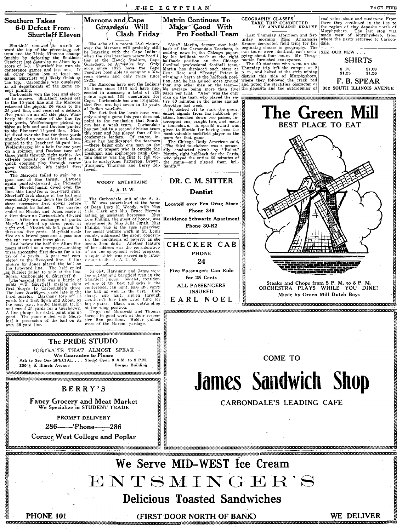*THE EGYPTIAN* 

CEOGRAPHY CLASSES<br>TAKE TRIP CONDUCTED<br>BY ANNEMARIE KRAUSE

Figure 1.1 The Manusch and State and State Intrader and State and Manusch of the beginning classes in geography. The two tours were identical, each occupation matrix that the matrix of the matrix of the matrix of the state

the deposits and the outcropping of

coal veins, shale and sandstone. From<br>there they continued in the hus to<br>the region of clay deposits north of<br>Murphysboro. The last stop was<br>made west of Murphysboro, from<br>where the party returned to Carboa-<br>dale.

SEE OUR NEW . . . **SHIRTS**  $$^{.75}_{$1.25}$ F. B. SPEAR 302 SOUTH ILLINOIS AVENUE

## **Southern Takes** 6-0 Defeat From **Shurtleff Eleven**

 $\begin{tabular}{l|c|c|c} \multicolumn{1}{c}{Shurlleft} \hspace*{2mm} \multicolumn{1}{c}{\textbf{B}} & \multicolumn{1}{c}{\textbf{B}} & \multicolumn{1}{c}{\textbf{B}} & \multicolumn{1}{c}{\textbf{B}} & \multicolumn{1}{c}{\textbf{B}} & \multicolumn{1}{c}{\textbf{B}} & \multicolumn{1}{c}{\textbf{B}} & \multicolumn{1}{c}{\textbf{B}} & \multicolumn{1}{c}{\textbf{B}} & \multicolumn{1}{c}{\textbf{B}} & \multicolumn{1}{c}{\textbf{B}} & \multicolumn{1}{c$ 

the top, Carponuane was vertext and the same comparison of the game can cert puniting.<br>
is all departments of the game cx certed can be carred to receive. Shurtleff kicked off looks to the 15-yard line and the Marcons cer

quick consing play through enter time to misfor<br>tunct. Patterson, Brown, the same of carbondale it's initial first Storment, Thurman and Berry fol-<br>dowe. The Maroons failed to gain by a<br>small and the three times. David in

20016 S. Illinois Avenue

Maroons and Cape Girardeau Will Clash Friday

The echo of a recent 18-0 victory<br>over the Maroons will probably still<br>be lingering with the Cape Indians<br>when the rival teachers renew hostili-<br>ties at the Houck Stadium, Cape<br>Girardeau, on Armistice day. Only<br>once since

once sures 1922 nawe the Gape Martin has displaced such stars as<br>
Teachers been able to conquor a Ma-  $G$ ere Rose and "Frosty" Peters in<br>
Teachers been able to conquor a Ma-  $G$  winning a berth at the halfback posi-<br>
1923

"Abe" Martin, former star half-<br>back of the Carbondale Teachers, is<br>making news in the Chicago papers<br>hy his brilliant work at the right<br>halfback position on the Chicago<br>Carvinal protessional football team.<br>Martin has disp

Matrin Continues To

Make Good With

Pro Football Team

Borger Building

CONNECTS TRANSCEPTS THE RECORD TO A RECORD TO THE TERM TO THE TERM OF THE TERM OF THE TERM OF THE TERM OF THE The PRIDE STUDIO PORTRAITS THAT ALMOST SPEAK »<br>We Guarantee to Please<br>Ask to See Our SPECIAL . . . Studio Open 8 A.M. to 8 P.M.

w<br>Chrochrochtharbortharbortharbortharbortharbortharbortharborthar

**BERRY'S Fancy Grocery and Meat Market** 

We Specialize in STUDENT TRADE PROMPT DELIVERY 286——'Phone——286 **Corner West College and Poplar** 



CHECKER CAB **PHONE** 24 Five Passengers Can Ride for 25 Cents ALL PASSENGERS **INSURED** EARL NOEL



**COME TO** 

response processorial texts consequent and texts texts texts texts and text of the consequent of the consequent

**James Sandwich Shop** 

CARBONDALE'S LEADING CAFE

We Serve MID-WEST fce Cream ENTSMINGER'S **Delicious Toasted Sandwiches** 

RECONSIGNERE EN ELECTROLOGICA DE CONSIGNERE ELECTROLOGICA DE CONSIGNERE ELECTROLOGICA DE CONSIGNERE ELECTROLOGICA DE CONSIGNERE ELECTROLOGICA DE CONSIGNERE ELECTROLOGICA DE CONSIGNERE ELECTROLOGICA DE CONSIGNERE ELECTROLOG

**PHONE 101** 

(FIRST DOOR NORTH OF BANK) 

WE DELIVER

DR. C. M. SITTER